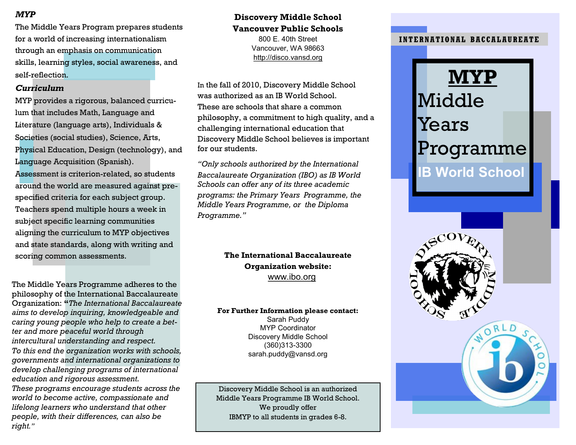#### *MYP*

The Middle Years Program prepares students for a world of increasing internationalism through an emphasis on communication skills, learning styles, social awareness, and self-reflection.

#### *Curriculum*

MYP provides a rigorous, balanced curriculum that includes Math, Language and Literature (language arts), Individuals & Societies (social studies), Science, Arts, Physical Education, Design (technology), and Language Acquisition (Spanish). Assessment is criterion-related, so students around the world are measured against prespecified criteria for each subject group. Teachers spend multiple hours a week in subject specific learning communities aligning the curriculum to MYP objectives and state standards, along with writing and scoring common assessments. **The International Baccalaureate** 

The Middle Years Programme adheres to the philosophy of the International Baccalaureate Organization: **"***The International Baccalaureate aims to develop inquiring, knowledgeable and caring young people who help to create a better and more peaceful world through intercultural understanding and respect.*

*To this end the organization works with schools, governments and international organizations to develop challenging programs of international education and rigorous assessment.* 

*These programs encourage students across the world to become active, compassionate and lifelong learners who understand that other people, with their differences, can also be right."*

#### **Discovery Middle School Vancouver Public Schools**

800 E. 40th Street Vancouver, WA 98663 http://disco.vansd.org

In the fall of 2010, Discovery Middle School was authorized as an IB World School. These are schools that share a common philosophy, a commitment to high quality, and a challenging international education that Discovery Middle School believes is important for our students.

*"Only schools authorized by the International Baccalaureate Organization (IBO) as IB World Schools can offer any of its three academic programs: the Primary Years Programme, the Middle Years Programme, or the Diploma Programme."*

> **Organization website:** www.ibo.org

#### **For Further Information please contact:**

Sarah Puddy MYP Coordinator Discovery Middle School (360)313-3300 sarah.puddy@vansd.org

Discovery Middle School is an authorized Middle Years Programme IB World School. We proudly offer IBMYP to all students in grades 6-8.

#### **INTERNATIONAL BACCAL AUREATE**

# **MYP** Middle Years Programme

**IB World School**

ORLD